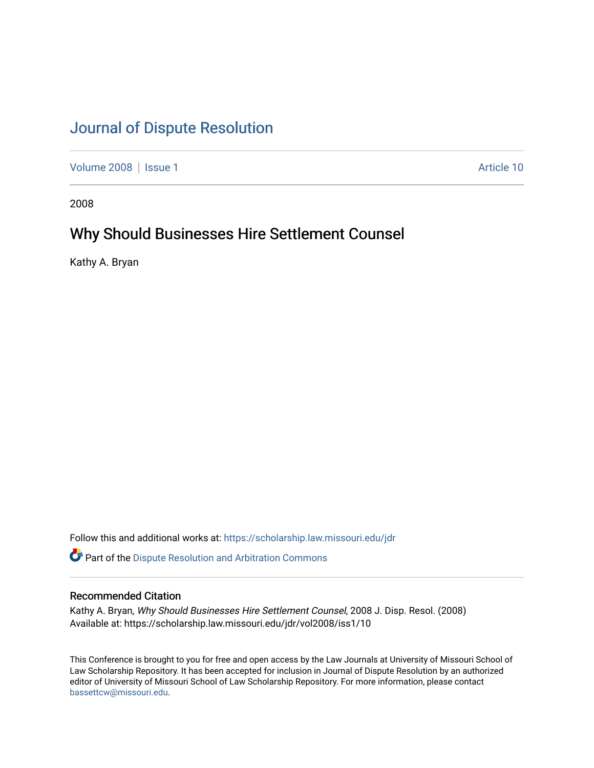## [Journal of Dispute Resolution](https://scholarship.law.missouri.edu/jdr)

[Volume 2008](https://scholarship.law.missouri.edu/jdr/vol2008) | [Issue 1](https://scholarship.law.missouri.edu/jdr/vol2008/iss1) Article 10

2008

## Why Should Businesses Hire Settlement Counsel

Kathy A. Bryan

Follow this and additional works at: [https://scholarship.law.missouri.edu/jdr](https://scholarship.law.missouri.edu/jdr?utm_source=scholarship.law.missouri.edu%2Fjdr%2Fvol2008%2Fiss1%2F10&utm_medium=PDF&utm_campaign=PDFCoverPages) 

**Part of the Dispute Resolution and Arbitration Commons** 

## Recommended Citation

Kathy A. Bryan, Why Should Businesses Hire Settlement Counsel, 2008 J. Disp. Resol. (2008) Available at: https://scholarship.law.missouri.edu/jdr/vol2008/iss1/10

This Conference is brought to you for free and open access by the Law Journals at University of Missouri School of Law Scholarship Repository. It has been accepted for inclusion in Journal of Dispute Resolution by an authorized editor of University of Missouri School of Law Scholarship Repository. For more information, please contact [bassettcw@missouri.edu](mailto:bassettcw@missouri.edu).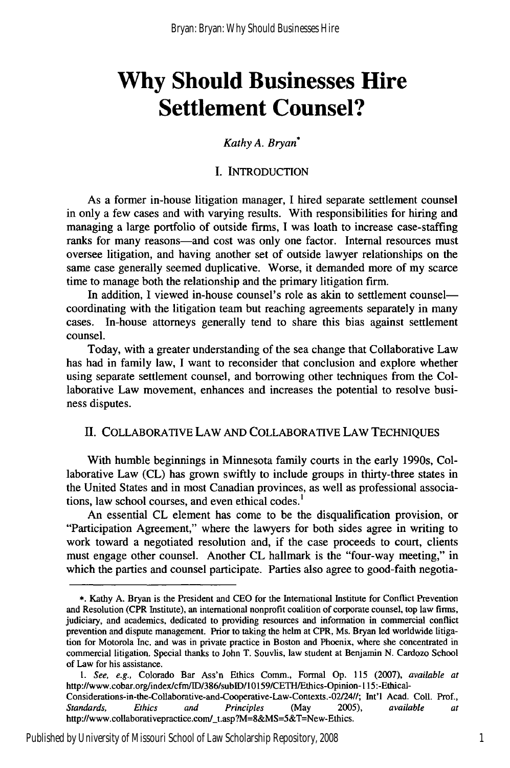# **Why Should Businesses Hire Settlement Counsel?**

## *Kathy A. Bryan\**

#### **I.** INTRODUCTION

As a former in-house litigation manager, **I** hired separate settlement counsel in only a few cases and with varying results. With responsibilities for hiring and managing a large portfolio of outside firms, **I** was loath to increase case-staffing ranks for many reasons—and cost was only one factor. Internal resources must oversee litigation, and having another set of outside lawyer relationships on the same case generally seemed duplicative. Worse, it demanded more of my scarce time to manage both the relationship and the primary litigation **firm.**

In addition, I viewed in-house counsel's role as akin to settlement counsel coordinating with the litigation team but reaching agreements separately in many cases. In-house attorneys generally tend to share this bias against settlement counsel.

Today, with a greater understanding of the sea change that Collaborative Law has had in family law, I want to reconsider that conclusion and explore whether using separate settlement counsel, and borrowing other techniques from the Collaborative Law movement, enhances and increases the potential to resolve business disputes.

#### II. COLLABORATIVE LAW AND COLLABORATIVE LAW TECHNIQUES

With humble beginnings in Minnesota family courts in the early 1990s, Collaborative Law (CL) has grown swiftly to include groups in thirty-three states in the United States and in most Canadian provinces, as well as professional associations, law school courses, and even ethical codes.'

An essential CL element has come to be the disqualification provision, or "Participation Agreement," where the lawyers for both sides agree in writing to work toward a negotiated resolution and, if the case proceeds to court, clients must engage other counsel. Another CL hallmark is the "four-way meeting," in which the parties and counsel participate. Parties also agree to good-faith negotia-

Published by University of Missouri School of Law Scholarship Repository, 2008

<sup>\*.</sup> Kathy A. Bryan is the President and CEO for the International Institute for Conflict Prevention and Resolution (CPR Institute), an international nonprofit coalition of corporate counsel, top law firms, judiciary, and academics, dedicated to providing resources and information in commercial conflict prevention and dispute management. Prior to taking the helm at CPR, Ms. Bryan led worldwide litigation for Motorola Inc. and was in private practice in Boston and Phoenix, where she concentrated in commercial litigation. Special thanks to John T. Souvis, law student at Benjamin N. Cardozo School of Law for his assistance.

*<sup>1.</sup> See, e.g.,* Colorado Bar Ass'n Ethics Comm., Formal Op. 115 (2007), *available at* http://www.cobar.org/index/cfm/ID/386/sublD/10159/CETH/Ethics-Opinion- 115:-Ethical-

Considerations-in-the-Collaborative-and-Cooperative-Law-Contexts.-02/24//; Int'l Acad. Coll. Prof., *Standards, Ethics and Principles* (May 2005), *available at* http://www.collaborativepractice.com/\_t.asp?M=8&MS=5&T=New-Ethics.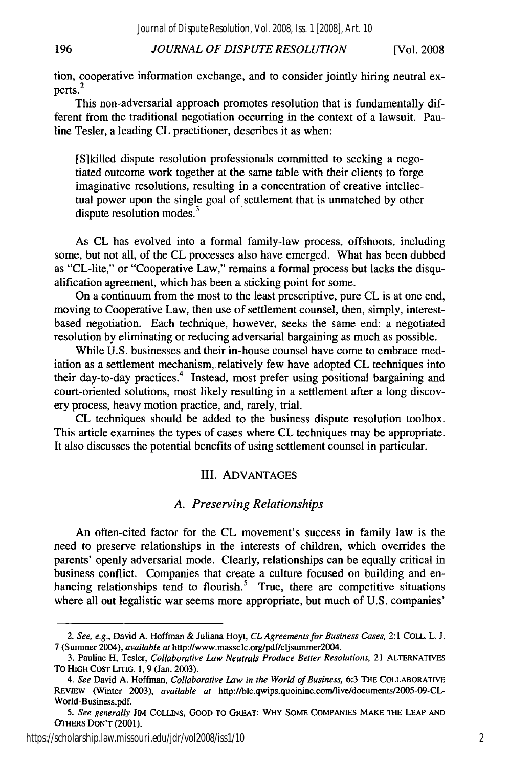#### 196 *JOURNAL OF DISPUTE RESOLUTION*

tion, cooperative information exchange, and to consider jointly hiring neutral experts.

This non-adversarial approach promotes resolution that is fundamentally different from the traditional negotiation occurring in the context of a lawsuit. Pauline Tesler, a leading CL practitioner, describes it as when:

[S]killed dispute resolution professionals committed to seeking a negotiated outcome work together at the same table with their clients to forge imaginative resolutions, resulting in a concentration of creative intellectual power upon the single goal of settlement that is unmatched by other dispute resolution modes.<sup>3</sup>

As CL has evolved into a formal family-law process, offshoots, including some, but not all, of the CL processes also have emerged. What has been dubbed as "CL-lite," or "Cooperative Law," remains a formal process but lacks the disqualification agreement, which has been a sticking point for some.

On a continuum from the most to the least prescriptive, pure CL is at one end, moving to Cooperative Law, then use of settlement counsel, then, simply, interestbased negotiation. Each technique, however, seeks the same end: a negotiated resolution by eliminating or reducing adversarial bargaining as much as possible.

While U.S. businesses and their in-house counsel have come to embrace mediation as a settlement mechanism, relatively few have adopted CL techniques into their day-to-day practices.<sup>4</sup> Instead, most prefer using positional bargaining and court-oriented solutions, most likely resulting in a settlement after a long discovery process, heavy motion practice, and, rarely, trial.

CL techniques should be added to the business dispute resolution toolbox. This article examines the types of cases where CL techniques may be appropriate. It also discusses the potential benefits of using settlement counsel in particular.

#### **II1.** ADVANTAGES

#### *A. Preserving Relationships*

An often-cited factor for the CL movement's success in family law is the need to preserve relationships in the interests of children, which overrides the parents' openly adversarial mode. Clearly, relationships can be equally critical in business conflict. Companies that create a culture focused on building and enhancing relationships tend to flourish.<sup>5</sup> True, there are competitive situations where all out legalistic war seems more appropriate, but much of U.S. companies'

*<sup>2.</sup> See, e.g.,* David A. Hoffman & Juliana Hoyt, *CL Agreements for Business Cases,* 2:1 COLL. L. J. 7 (Summer 2004), *available at* http://www.massclc.org/pdf/cljsummer2OO4.

<sup>3.</sup> Pauline H. Tesler, *Collaborative Law Neutrals Produce Better Resolutions,* 21 **ALTERNATIVES** To **HIGH** COST LrriG. 1, 9 (Jan. 2003).

*<sup>4.</sup> See* David A. Hoffman, *Collaborative Law in the World of Business,* 6:3 THE COLLABORATIVE REVIEW (Winter 2003), *available at* http://blc.qwips.quoininc.com/live/documents/2005-09-CL-World-Business.pdf.

*<sup>5.</sup> See generally* JIM COLLINS, GOOD TO GREAT: WHY SOME COMPANIES MAKE THE **LEAP AND** OTHERS **DON'T** (2001).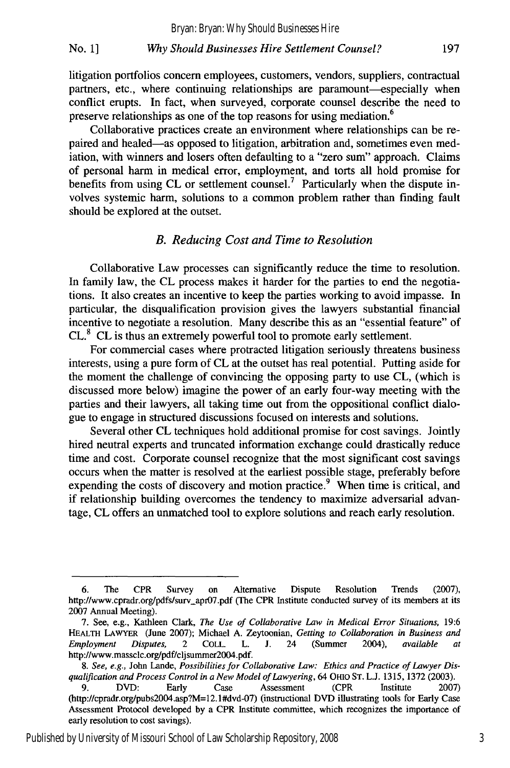#### *Why Should Businesses Hire Settlement Counsel?* No. **1]**

litigation portfolios concern employees, customers, vendors, suppliers, contractual partners, etc., where continuing relationships are paramount-especially when conflict erupts. In fact, when surveyed, corporate counsel describe the need to preserve relationships as one of the top reasons for using mediation.<sup>6</sup>

Collaborative practices create an environment where relationships can be repaired and healed—as opposed to litigation, arbitration and, sometimes even mediation, with winners and losers often defaulting to a "zero sum" approach. Claims of personal harm in medical error, employment, and torts all hold promise for benefits from using CL or settlement counsel.<sup>7</sup> Particularly when the dispute involves systemic harm, solutions to a common problem rather than finding fault should be explored at the outset.

#### *B. Reducing Cost and Time to Resolution*

Collaborative Law processes can significantly reduce the time to resolution. In family law, the CL process makes it harder for the parties to end the negotiations. It also creates an incentive to keep the parties working to avoid impasse. In particular, the disqualification provision gives the lawyers substantial financial incentive to negotiate a resolution. Many describe this as an "essential feature" of  $CL<sup>8</sup>$  CL is thus an extremely powerful tool to promote early settlement.

For commercial cases where protracted litigation seriously threatens business interests, using a pure form of CL at the outset has real potential. Putting aside for the moment the challenge of convincing the opposing party to use **CL,** (which is discussed more below) imagine the power of an early four-way meeting with the parties and their lawyers, all taking time out from the oppositional conflict dialogue to engage in structured discussions focused on interests and solutions.

Several other CL techniques hold additional promise for cost savings. Jointly hired neutral experts and truncated information exchange could drastically reduce time and cost. Corporate counsel recognize that the most significant cost savings occurs when the matter is resolved at the earliest possible stage, preferably before expending the costs of discovery and motion practice.<sup>9</sup> When time is critical, and if relationship building overcomes the tendency to maximize adversarial advantage, CL offers an unmatched tool to explore solutions and reach early resolution.

Published by University of Missouri School of Law Scholarship Repository, 2008

197

<sup>6.</sup> The CPR Survey on Alternative Dispute Resolution Trends (2007), http://www.cpradr.org/pdfs/surv\_apr07.pdf (The CPR Institute conducted survey of its members at its 2007 Annual Meeting).

<sup>7.</sup> See, e.g., Kathleen Clark, *The Use of Collaborative Law in Medical Error Situations,* 19:6 HEALTH LAWYER (June 2007); Michael A. Zeytoonian, *Getting to Collaboration in Business and Employment Disputes,* 2 **COLL.** L. J. 24 (Summer 2004), *available at* http://www.massclc.org/pdf/cljsummer2004.pdf.

*<sup>8.</sup> See, e.g.,* John Lande, *Possibilities for Collaborative Law: Ethics and Practice of Lawyer Disqualification and Process Control in a New Model of Lawyering,* 64 OHIO ST. L.J. 1315, 1372 (2003).

<sup>9.</sup> DVD: Early Case Assessment (CPR Institute 2007) (http://cpradr.org/pubs2004.asp?M=12.1#dvd-07) (instructional DVD illustrating tools for Early Case Assessment Protocol developed by a CPR Institute committee, which recognizes the importance of early resolution to cost savings).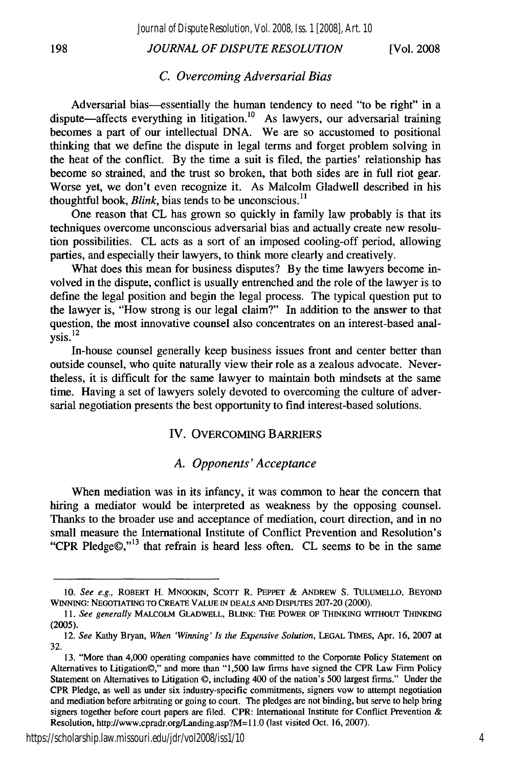#### *JOURNAL OF DISPUTE RESOLUTION*

[Vol. **2008**

#### *C. Overcoming Adversarial Bias*

Adversarial bias—essentially the human tendency to need "to be right" in a dispute-affects everything in litigation.<sup>10</sup> As lawyers, our adversarial training becomes a part of our intellectual DNA. We are so accustomed to positional thinking that we define the dispute in legal terms and forget problem solving in the heat of the conflict. By the time a suit is filed, the parties' relationship has become so strained, and the trust so broken, that both sides are in full riot gear. Worse yet, we don't even recognize it. As Malcolm Gladwell described in his thoughtful book, *Blink*, bias tends to be unconscious.<sup>11</sup>

One reason that CL has grown so quickly in family law probably is that its techniques overcome unconscious adversarial bias and actually create new resolution possibilities. CL acts as a sort of an imposed cooling-off period, allowing parties, and especially their lawyers, to think more clearly and creatively.

What does this mean for business disputes? By the time lawyers become involved in the dispute, conflict is usually entrenched and the role of the lawyer is to define the legal position and begin the legal process. The typical question put to the lawyer is, "How strong is our legal claim?" In addition to the answer to that question, the most innovative counsel also concentrates on an interest-based analysis.<sup>12</sup>

In-house counsel generally keep business issues front and center better than outside counsel, who quite naturally view their role as a zealous advocate. Nevertheless, it is difficult for the same lawyer to maintain both mindsets at the same time. Having a set of lawyers solely devoted to overcoming the culture of adversarial negotiation presents the best opportunity to find interest-based solutions.

#### IV. OVERCOMING BARRIERS

#### *A. Opponents'Acceptance*

When mediation was in its infancy, it was common to hear the concern that hiring a mediator would be interpreted as weakness by the opposing counsel. Thanks to the broader use and acceptance of mediation, court direction, and in no small measure the International Institute of Conflict Prevention and Resolution's "CPR Pledge©,"<sup>13</sup> that refrain is heard less often. CL seems to be in the same

<sup>10.</sup> *See e.g.,* ROBERT H. MNOOKIN, SCOTT R. **PEPPET** & ANDREW S. **TULUMELLO,** BEYOND **WINNING: NEGOTIATING** TO CREATE **VALUE IN DEALS AND** DISPUTES 207-20 (2000).

*<sup>11.</sup> See generally* **MALCOLM** GLADWELL, BLINK: **THE** POWER OF THINKING WITHOUT THINKING (2005).

<sup>12.</sup> *See* Kathy Bryan, *When 'Winning' Is the Expensive Solution,* LEGAL TIMES, Apr. 16, 2007 at 32.

<sup>13. &</sup>quot;More than 4,000 operating companies have committed to the Corporate Policy Statement on Alternatives to Litigation@," and more than "1,500 law firms have signed the CPR Law Firm Policy Statement on Alternatives to Litigation ©, including 400 of the nation's 500 largest firms." Under the CPR Pledge, as well as under six industry-specific commitments, signers vow to attempt negotiation and mediation before arbitrating or going to court. The pledges are not binding, but serve to help bring signers together before court papers are filed. CPR: International Institute for Conflict Prevention & Resolution, http://www.cpradr.org/Landing.asp?M= 11.0 (last visited Oct. 16, 2007).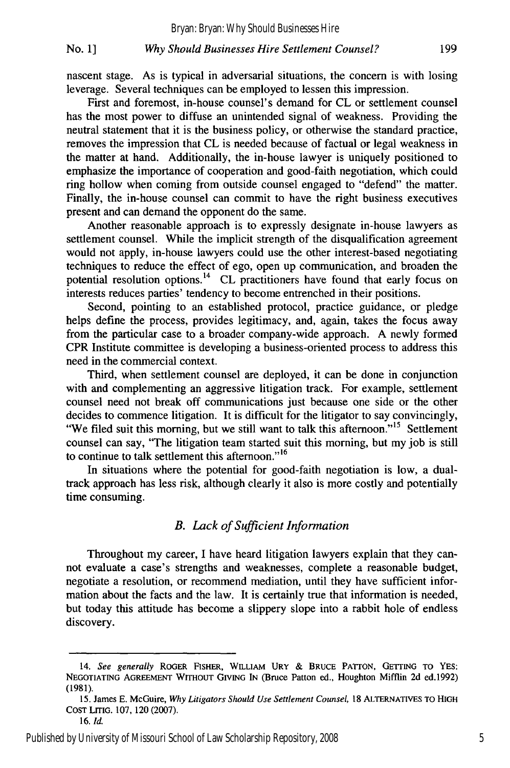#### *Why Should Businesses Hire Settlement Counsel?* No. **11**

nascent stage. As is typical in adversarial situations, the concern is with losing leverage. Several techniques can be employed to lessen this impression.

First and foremost, in-house counsel's demand for CL or settlement counsel has the most power to diffuse an unintended signal of weakness. Providing the neutral statement that it is the business policy, or otherwise the standard practice, removes the impression that CL is needed because of factual or legal weakness in the matter at hand. Additionally, the in-house lawyer is uniquely positioned to emphasize the importance of cooperation and good-faith negotiation, which could ring hollow when coming from outside counsel engaged to "defend" the matter. Finally, the in-house counsel can commit to have the right business executives present and can demand the opponent do the same.

Another reasonable approach is to expressly designate in-house lawyers as settlement counsel. While the implicit strength of the disqualification agreement would not apply, in-house lawyers could use the other interest-based negotiating techniques to reduce the effect of ego, open up communication, and broaden the potential resolution options.<sup>14</sup> CL practitioners have found that early focus on interests reduces parties' tendency to become entrenched in their positions.

Second, pointing to an established protocol, practice guidance, or pledge helps define the process, provides legitimacy, and, again, takes the focus away from the particular case to a broader company-wide approach. A newly formed CPR Institute committee is developing a business-oriented process to address this need in the commercial context.

Third, when settlement counsel are deployed, it can be done in conjunction with and complementing an aggressive litigation track. For example, settlement counsel need not break off communications just because one side or the other decides to commence litigation. It is difficult for the litigator to say convincingly, "We filed suit this morning, but we still want to talk this afternoon."<sup>15</sup> Settlement counsel can say, "The litigation team started suit this morning, but my job is still to continue to talk settlement this afternoon."<sup>16</sup>

In situations where the potential for good-faith negotiation is low, a dualtrack approach has less risk, although clearly it also is more costly and potentially time consuming.

### *B. Lack of Sufficient Information*

Throughout my career, I have heard litigation lawyers explain that they cannot evaluate a case's strengths and weaknesses, complete a reasonable budget, negotiate a resolution, or recommend mediation, until they have sufficient information about the facts and the law. It is certainly true that information is needed, but today this attitude has become a slippery slope into a rabbit hole of endless discovery.

199

<sup>14.</sup> *See generally* ROGER FISHER, WILLIAM URY & BRUCE PATTON, GETTING TO YES: **NEGOTIATING AGREEMENT** WITHOUT GIVING IN (Bruce Patton ed., Houghton Mifflin 2d ed.1992) (1981).

<sup>15.</sup> James E. McGuire, *Why Litigators Should Use Settlement Counsel,* 18 ALTERNATIVES TO HIGH COST LITIG. 107, 120 (2007).

<sup>16.</sup> *Id.*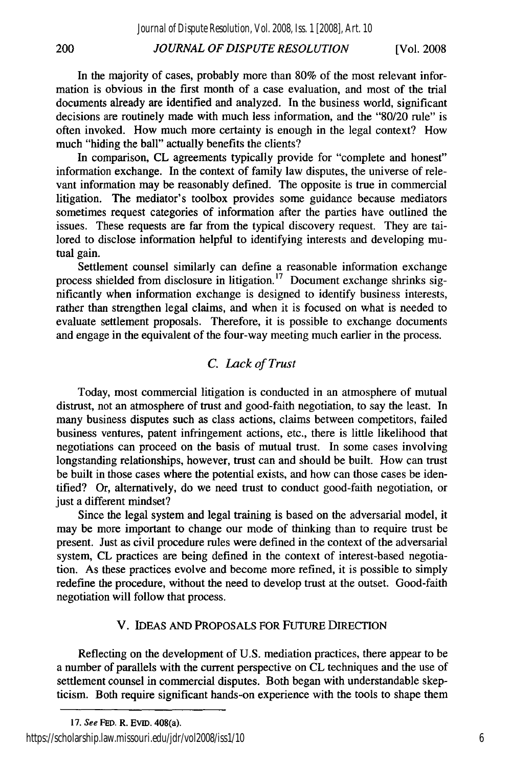#### *JOURNAL OF DISPUTE RESOLUTION*

200

[Vol. **2008**

In the majority of cases, probably more than **80%** of the most relevant information is obvious in the first month of a case evaluation, and most of the trial documents already are identified and analyzed. In the business world, significant decisions are routinely made with much less information, and the "80/20 rule" is often invoked. How much more certainty is enough in the legal context? How much "hiding the ball" actually benefits the clients?

In comparison, CL agreements typically provide for "complete and honest" information exchange. In the context of family law disputes, the universe of relevant information may be reasonably defined. The opposite is true in commercial litigation. The mediator's toolbox provides some guidance because mediators sometimes request categories of information after the parties have outlined the issues. These requests are far from the typical discovery request. They are tailored to disclose information helpful to identifying interests and developing mutual gain.

Settlement counsel similarly can define a reasonable information exchange process shielded from disclosure in litigation.<sup>17</sup> Document exchange shrinks significantly when information exchange is designed to identify business interests, rather than strengthen legal claims, and when it is focused on what is needed to evaluate settlement proposals. Therefore, it is possible to exchange documents and engage in the equivalent of the four-way meeting much earlier in the process.

### *C. Lack of Trust*

Today, most commercial litigation is conducted in an atmosphere of mutual distrust, not an atmosphere of trust and good-faith negotiation, to say the least. In many business disputes such as class actions, claims between competitors, failed business ventures, patent infringement actions, etc., there is little likelihood that negotiations can proceed on the basis of mutual trust. In some cases involving longstanding relationships, however, trust can and should be built. How can trust be built in those cases where the potential exists, and how can those cases be identified? Or, alternatively, do we need trust to conduct good-faith negotiation, or just a different mindset?

Since the legal system and legal training is based on the adversarial model, it may be more important to change our mode of thinking than to require trust be present. Just as civil procedure rules were defined in the context of the adversarial system, CL practices are being defined in the context of interest-based negotiation. As these practices evolve and become more refined, it is possible to simply redefine the procedure, without the need to develop trust at the outset. Good-faith negotiation will follow that process.

#### V. IDEAS AND PROPOSALS FOR FUTURE DIRECTION

Reflecting on the development of U.S. mediation practices, there appear to be a number of parallels with the current perspective on CL techniques and the use of settlement counsel in commercial disputes. Both began with understandable skepticism. Both require significant hands-on experience with the tools to shape them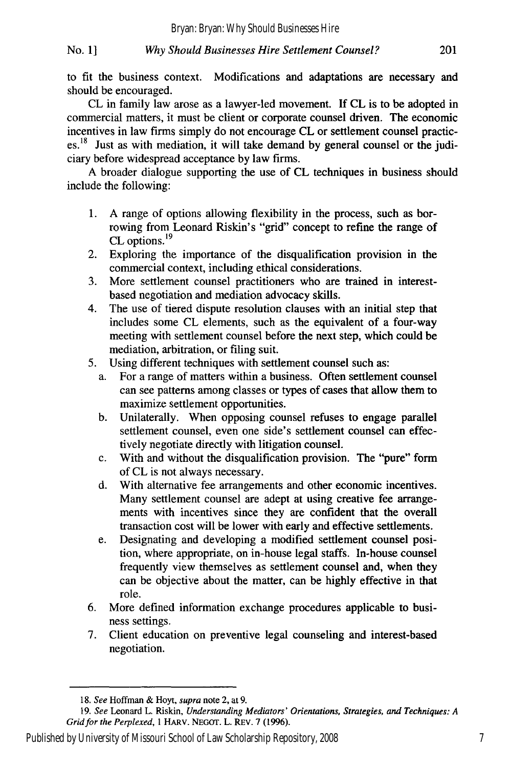#### *Why Should Businesses Hire Settlement Counsel?* No. **1]**

to fit the business context. Modifications and adaptations are necessary and should be encouraged.

CL in family law arose as a lawyer-led movement. If CL is to be adopted in commercial matters, it must be client or corporate counsel driven. The economic incentives in law firms simply do not encourage CL or settlement counsel practices.<sup>18</sup> Just as with mediation, it will take demand by general counsel or the judiciary before widespread acceptance by law firms.

A broader dialogue supporting the use of CL techniques in business should include the following:

- 1. A range of options allowing flexibility in the process, such as borrowing from Leonard Riskin's "grid" concept to refine the range of CL options.<sup>19</sup>
- 2. Exploring the importance of the disqualification provision in the commercial context, including ethical considerations.
- 3. More settlement counsel practitioners who are trained in interestbased negotiation and mediation advocacy skills.
- 4. The use of tiered dispute resolution clauses with an initial step that includes some CL elements, such as the equivalent of a four-way meeting with settlement counsel before the next step, which could be mediation, arbitration, or filing suit.
- 5. Using different techniques with settlement counsel such as:
	- a. For a range of matters within a business. Often settlement counsel can see patterns among classes or types of cases that allow them to maximize settlement opportunities.
	- b. Unilaterally. When opposing counsel refuses to engage parallel settlement counsel, even one side's settlement counsel can effectively negotiate directly with litigation counsel.
	- c. With and without the disqualification provision. The "pure" form of CL is not always necessary.
	- d. With alternative fee arrangements and other economic incentives. Many settlement counsel are adept at using creative fee arrangements with incentives since they are confident that the overall transaction cost will be lower with early and effective settlements.
	- e. Designating and developing a modified settlement counsel position, where appropriate, on in-house legal staffs. In-house counsel frequently view themselves as settlement counsel and, when they can be objective about the matter, can be highly effective in that role.
- 6. More defined information exchange procedures applicable to business settings.
- 7. Client education on preventive legal counseling and interest-based negotiation.

201

*<sup>18.</sup> See* Hoffman & Hoyt, *supra* note 2, at 9.

<sup>19.</sup> *See* Leonard L. Riskin, *Understanding Mediators' Orientations, Strategies, and Techniques: A Grid for the Perplexed,* 1 HARV. NEGOT. L. REv. 7 (1996).

Published by University of Missouri School of Law Scholarship Repository, 2008